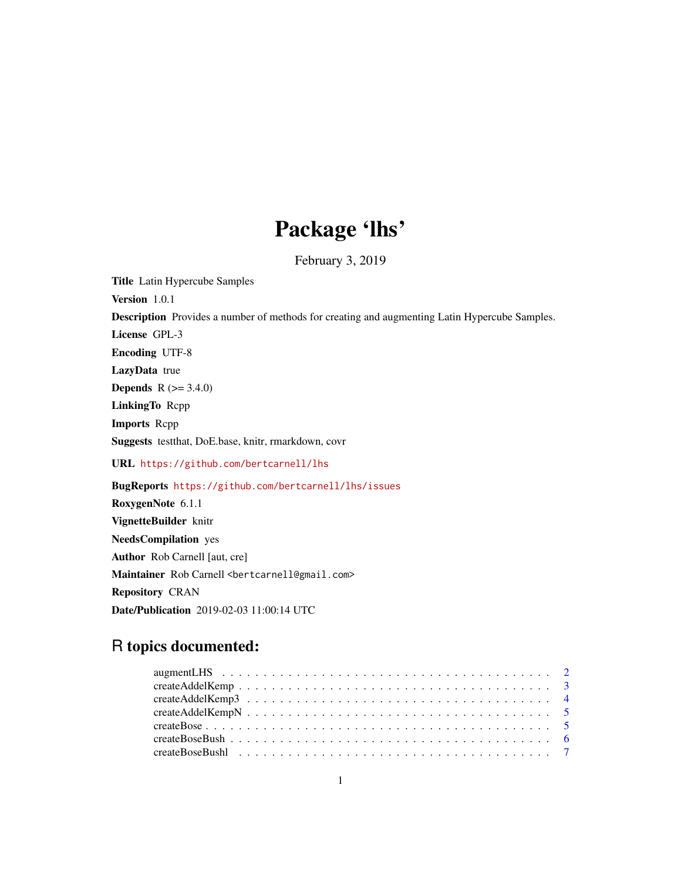# Package 'lhs'

February 3, 2019

Title Latin Hypercube Samples

Version 1.0.1

Description Provides a number of methods for creating and augmenting Latin Hypercube Samples.

License GPL-3

Encoding UTF-8

LazyData true

**Depends**  $R (= 3.4.0)$ 

LinkingTo Rcpp

Imports Rcpp

Suggests testthat, DoE.base, knitr, rmarkdown, covr

URL <https://github.com/bertcarnell/lhs>

BugReports <https://github.com/bertcarnell/lhs/issues>

RoxygenNote 6.1.1 VignetteBuilder knitr NeedsCompilation yes Author Rob Carnell [aut, cre] Maintainer Rob Carnell <br/>bertcarnell@gmail.com> Repository CRAN Date/Publication 2019-02-03 11:00:14 UTC

# R topics documented: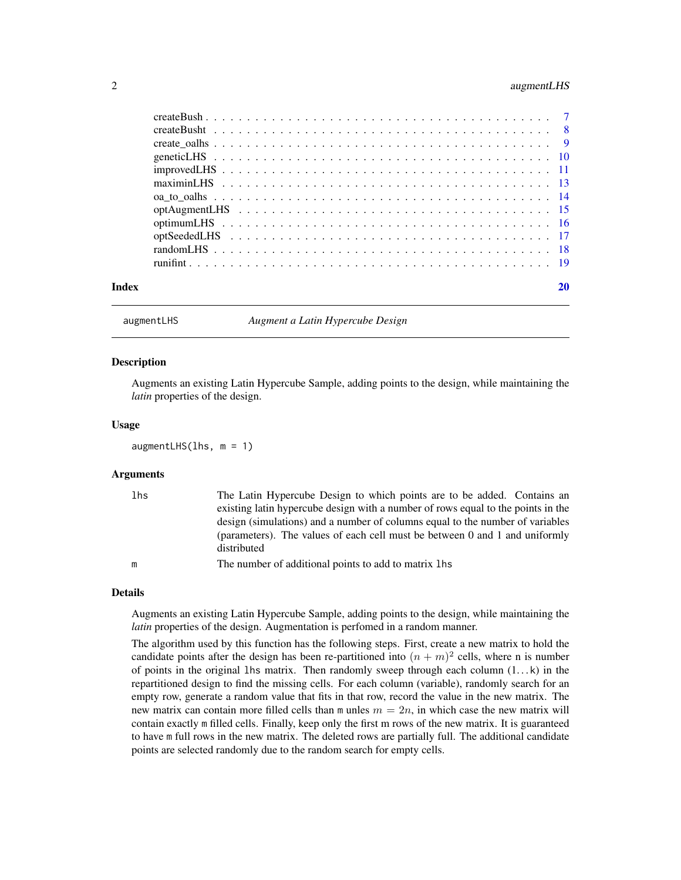# <span id="page-1-0"></span>2 augmentLHS

| Index | 20 |
|-------|----|

augmentLHS *Augment a Latin Hypercube Design*

#### Description

Augments an existing Latin Hypercube Sample, adding points to the design, while maintaining the *latin* properties of the design.

#### Usage

augmentLHS(lhs, m = 1)

#### Arguments

| lhs | The Latin Hypercube Design to which points are to be added. Contains an          |
|-----|----------------------------------------------------------------------------------|
|     | existing latin hypercube design with a number of rows equal to the points in the |
|     | design (simulations) and a number of columns equal to the number of variables    |
|     | (parameters). The values of each cell must be between 0 and 1 and uniformly      |
|     | distributed                                                                      |
| m   | The number of additional points to add to matrix lhs                             |

## Details

Augments an existing Latin Hypercube Sample, adding points to the design, while maintaining the *latin* properties of the design. Augmentation is perfomed in a random manner.

The algorithm used by this function has the following steps. First, create a new matrix to hold the candidate points after the design has been re-partitioned into  $(n + m)^2$  cells, where n is number of points in the original 1hs matrix. Then randomly sweep through each column  $(1...k)$  in the repartitioned design to find the missing cells. For each column (variable), randomly search for an empty row, generate a random value that fits in that row, record the value in the new matrix. The new matrix can contain more filled cells than m unles  $m = 2n$ , in which case the new matrix will contain exactly m filled cells. Finally, keep only the first m rows of the new matrix. It is guaranteed to have m full rows in the new matrix. The deleted rows are partially full. The additional candidate points are selected randomly due to the random search for empty cells.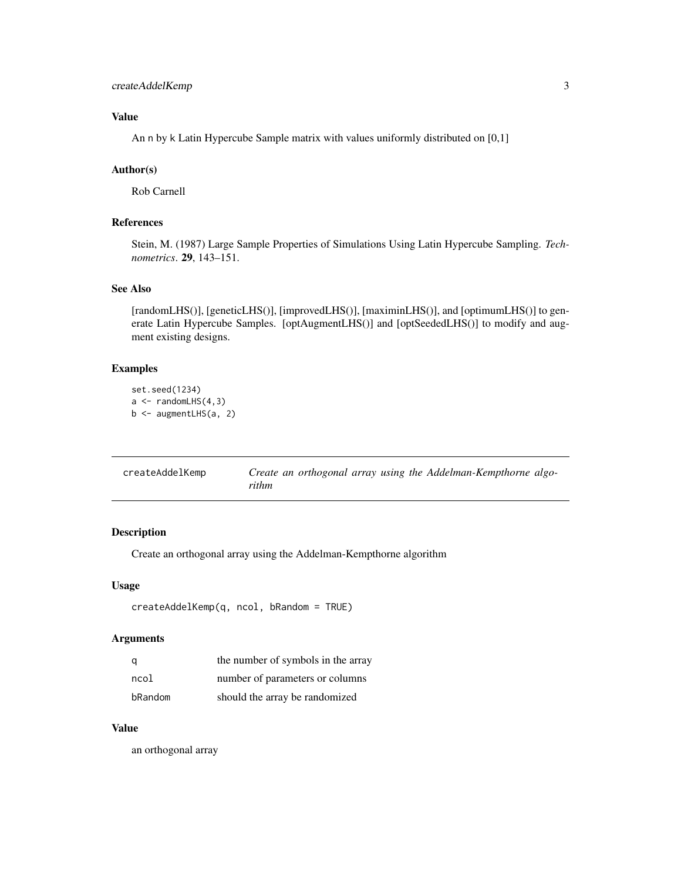# <span id="page-2-0"></span>createAddelKemp 3

# Value

An n by k Latin Hypercube Sample matrix with values uniformly distributed on [0,1]

### Author(s)

Rob Carnell

# References

Stein, M. (1987) Large Sample Properties of Simulations Using Latin Hypercube Sampling. *Technometrics*. 29, 143–151.

# See Also

[randomLHS()], [geneticLHS()], [improvedLHS()], [maximinLHS()], and [optimumLHS()] to generate Latin Hypercube Samples. [optAugmentLHS()] and [optSeededLHS()] to modify and augment existing designs.

#### Examples

```
set.seed(1234)
a \leftarrow \text{randomLHS}(4, 3)b <- augmentLHS(a, 2)
```

| createAddelKemp | Create an orthogonal array using the Addelman-Kempthorne algo- |
|-----------------|----------------------------------------------------------------|
|                 | rithm                                                          |

# Description

Create an orthogonal array using the Addelman-Kempthorne algorithm

# Usage

```
createAddelKemp(q, ncol, bRandom = TRUE)
```
#### Arguments

|         | the number of symbols in the array |
|---------|------------------------------------|
| ncol    | number of parameters or columns    |
| bRandom | should the array be randomized     |

# Value

an orthogonal array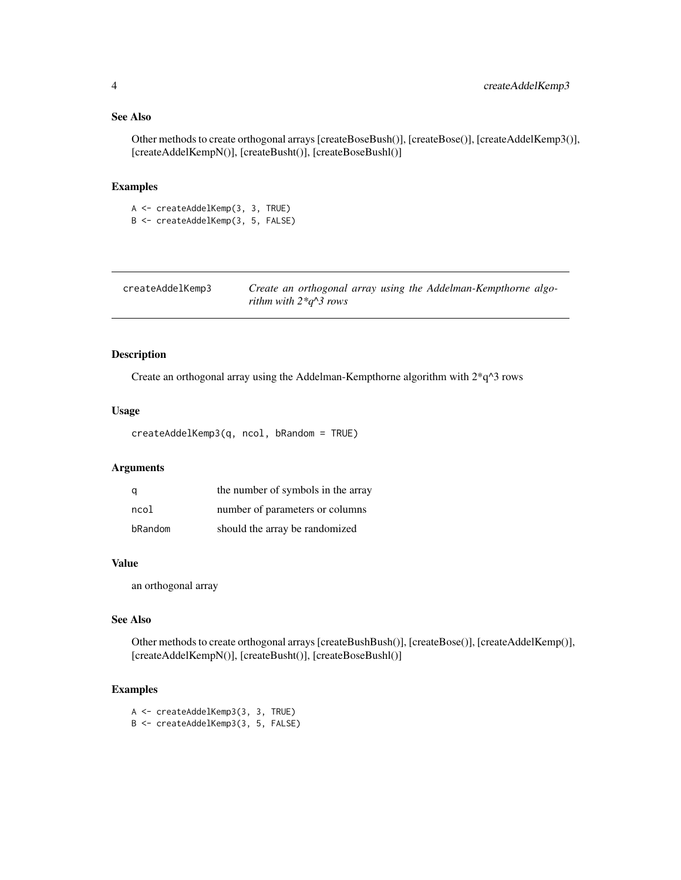# <span id="page-3-0"></span>See Also

Other methods to create orthogonal arrays [createBoseBush()], [createBose()], [createAddelKemp3()], [createAddelKempN()], [createBusht()], [createBoseBushl()]

# Examples

A <- createAddelKemp(3, 3, TRUE) B <- createAddelKemp(3, 5, FALSE)

| createAddelKemp3 | Create an orthogonal array using the Addelman-Kempthorne algo- |  |
|------------------|----------------------------------------------------------------|--|
|                  | rithm with $2 \times q \wedge 3$ rows                          |  |

# Description

Create an orthogonal array using the Addelman-Kempthorne algorithm with 2\*q^3 rows

# Usage

```
createAddelKemp3(q, ncol, bRandom = TRUE)
```
# Arguments

|         | the number of symbols in the array |
|---------|------------------------------------|
| ncol    | number of parameters or columns    |
| bRandom | should the array be randomized     |

# Value

an orthogonal array

# See Also

Other methods to create orthogonal arrays [createBushBush()], [createBose()], [createAddelKemp()], [createAddelKempN()], [createBusht()], [createBoseBushl()]

# Examples

```
A <- createAddelKemp3(3, 3, TRUE)
B <- createAddelKemp3(3, 5, FALSE)
```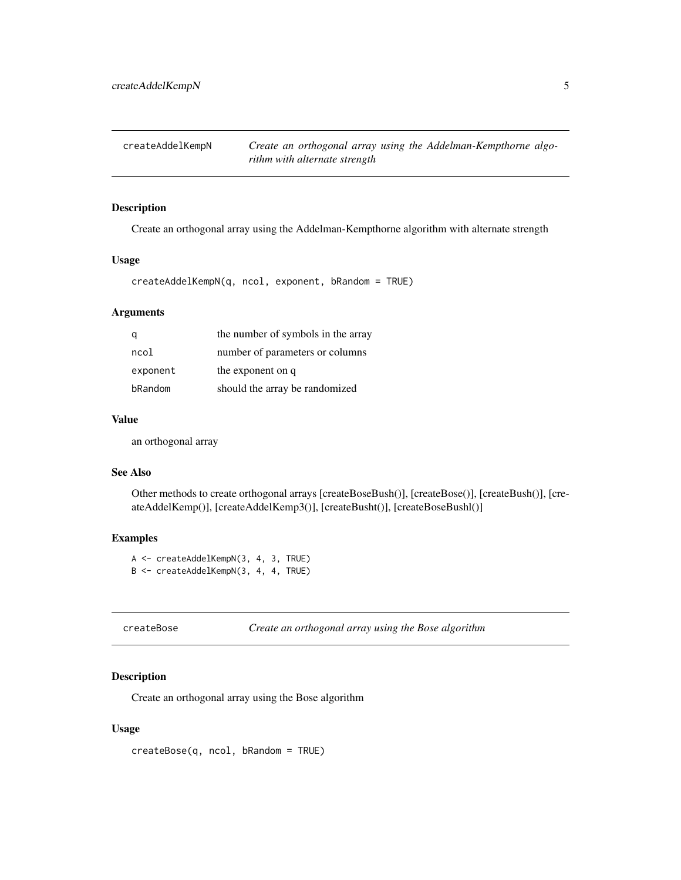<span id="page-4-0"></span>createAddelKempN *Create an orthogonal array using the Addelman-Kempthorne algorithm with alternate strength*

# Description

Create an orthogonal array using the Addelman-Kempthorne algorithm with alternate strength

#### Usage

createAddelKempN(q, ncol, exponent, bRandom = TRUE)

# Arguments

|          | the number of symbols in the array |
|----------|------------------------------------|
| ncol     | number of parameters or columns    |
| exponent | the exponent on q                  |
| bRandom  | should the array be randomized     |

#### Value

an orthogonal array

#### See Also

Other methods to create orthogonal arrays [createBoseBush()], [createBose()], [createBush()], [createAddelKemp()], [createAddelKemp3()], [createBusht()], [createBoseBushl()]

# Examples

A <- createAddelKempN(3, 4, 3, TRUE) B <- createAddelKempN(3, 4, 4, TRUE)

createBose *Create an orthogonal array using the Bose algorithm*

# Description

Create an orthogonal array using the Bose algorithm

# Usage

createBose(q, ncol, bRandom = TRUE)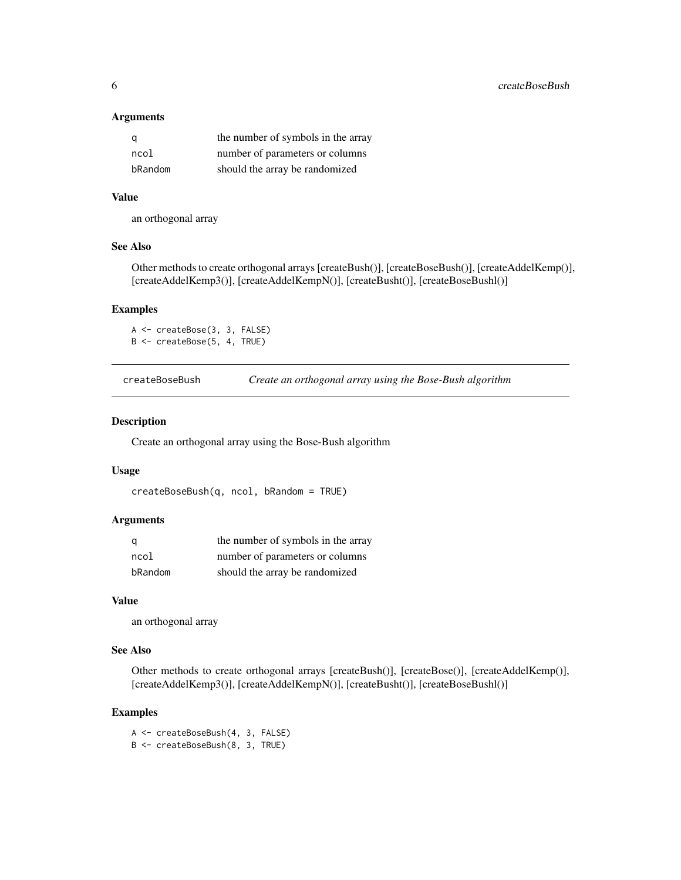#### <span id="page-5-0"></span>Arguments

| q       | the number of symbols in the array |
|---------|------------------------------------|
| ncol    | number of parameters or columns    |
| bRandom | should the array be randomized     |

# Value

an orthogonal array

#### See Also

Other methods to create orthogonal arrays [createBush()], [createBoseBush()], [createAddelKemp()], [createAddelKemp3()], [createAddelKempN()], [createBusht()], [createBoseBushl()]

# Examples

A <- createBose(3, 3, FALSE) B <- createBose(5, 4, TRUE)

createBoseBush *Create an orthogonal array using the Bose-Bush algorithm*

# Description

Create an orthogonal array using the Bose-Bush algorithm

# Usage

```
createBoseBush(q, ncol, bRandom = TRUE)
```
# Arguments

| a       | the number of symbols in the array |
|---------|------------------------------------|
| ncol    | number of parameters or columns    |
| bRandom | should the array be randomized     |

#### Value

an orthogonal array

# See Also

Other methods to create orthogonal arrays [createBush()], [createBose()], [createAddelKemp()], [createAddelKemp3()], [createAddelKempN()], [createBusht()], [createBoseBushl()]

### Examples

A <- createBoseBush(4, 3, FALSE) B <- createBoseBush(8, 3, TRUE)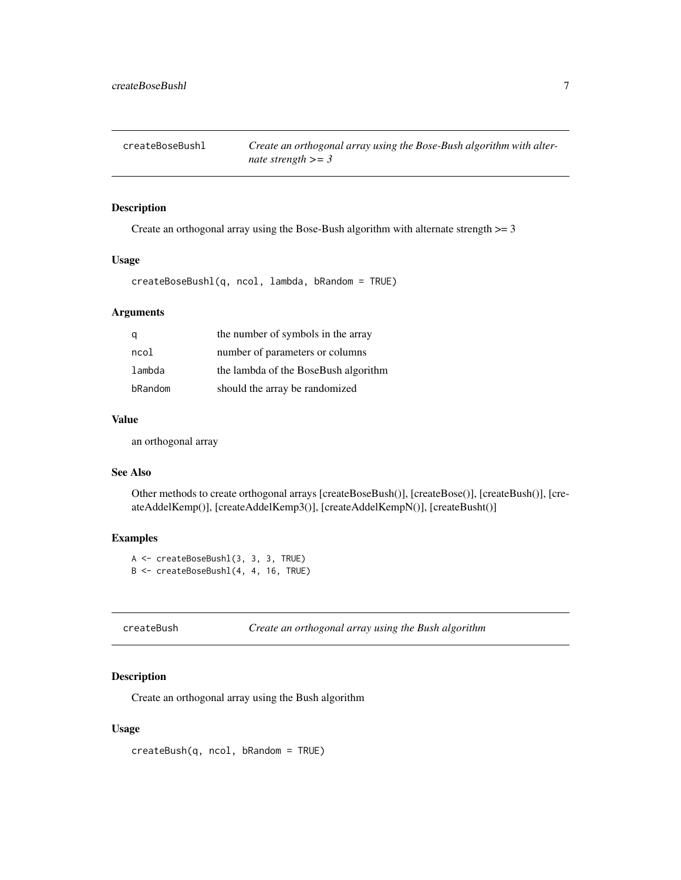<span id="page-6-0"></span>

Create an orthogonal array using the Bose-Bush algorithm with alternate strength >= 3

#### Usage

createBoseBushl(q, ncol, lambda, bRandom = TRUE)

# Arguments

|         | the number of symbols in the array   |
|---------|--------------------------------------|
| ncol    | number of parameters or columns      |
| lambda  | the lambda of the BoseBush algorithm |
| bRandom | should the array be randomized       |

#### Value

an orthogonal array

#### See Also

Other methods to create orthogonal arrays [createBoseBush()], [createBose()], [createBush()], [createAddelKemp()], [createAddelKemp3()], [createAddelKempN()], [createBusht()]

# Examples

A <- createBoseBushl(3, 3, 3, TRUE) B <- createBoseBushl(4, 4, 16, TRUE)

createBush *Create an orthogonal array using the Bush algorithm*

# Description

Create an orthogonal array using the Bush algorithm

# Usage

createBush(q, ncol, bRandom = TRUE)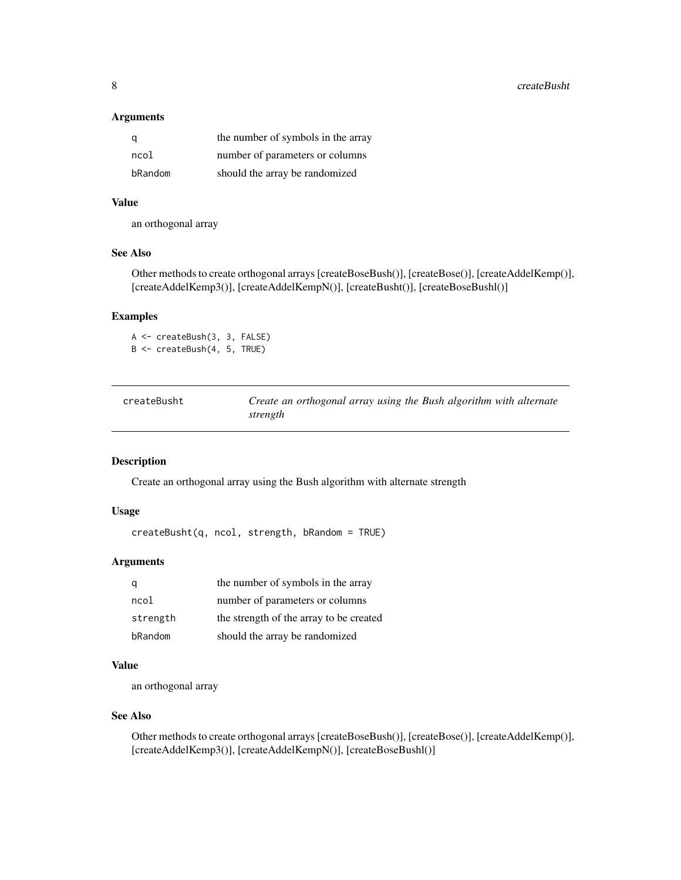# <span id="page-7-0"></span>Arguments

| a       | the number of symbols in the array |
|---------|------------------------------------|
| ncol    | number of parameters or columns    |
| bRandom | should the array be randomized     |

# Value

an orthogonal array

# See Also

Other methods to create orthogonal arrays [createBoseBush()], [createBose()], [createAddelKemp()], [createAddelKemp3()], [createAddelKempN()], [createBusht()], [createBoseBushl()]

# Examples

A <- createBush(3, 3, FALSE) B <- createBush(4, 5, TRUE)

| createBusht | Create an orthogonal array using the Bush algorithm with alternate |
|-------------|--------------------------------------------------------------------|
|             | strength                                                           |

# Description

Create an orthogonal array using the Bush algorithm with alternate strength

#### Usage

```
createBusht(q, ncol, strength, bRandom = TRUE)
```
# Arguments

|          | the number of symbols in the array      |
|----------|-----------------------------------------|
| ncol     | number of parameters or columns         |
| strength | the strength of the array to be created |
| bRandom  | should the array be randomized          |

# Value

an orthogonal array

# See Also

Other methods to create orthogonal arrays [createBoseBush()], [createBose()], [createAddelKemp()], [createAddelKemp3()], [createAddelKempN()], [createBoseBushl()]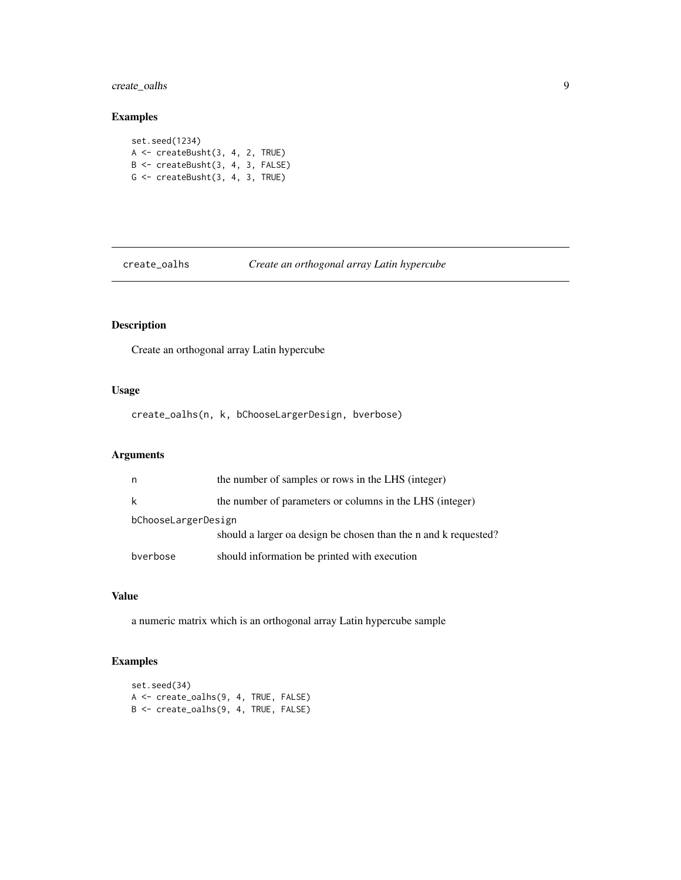<span id="page-8-0"></span>create\_oalhs 9

# Examples

set.seed(1234) A <- createBusht(3, 4, 2, TRUE) B <- createBusht(3, 4, 3, FALSE) G <- createBusht(3, 4, 3, TRUE)

create\_oalhs *Create an orthogonal array Latin hypercube*

# Description

Create an orthogonal array Latin hypercube

# Usage

create\_oalhs(n, k, bChooseLargerDesign, bverbose)

# Arguments

|                     | the number of samples or rows in the LHS (integer)              |
|---------------------|-----------------------------------------------------------------|
|                     | the number of parameters or columns in the LHS (integer)        |
| bChooseLargerDesign | should a larger oa design be chosen than the n and k requested? |
| bverbose            | should information be printed with execution                    |

# Value

a numeric matrix which is an orthogonal array Latin hypercube sample

# Examples

```
set.seed(34)
A <- create_oalhs(9, 4, TRUE, FALSE)
B <- create_oalhs(9, 4, TRUE, FALSE)
```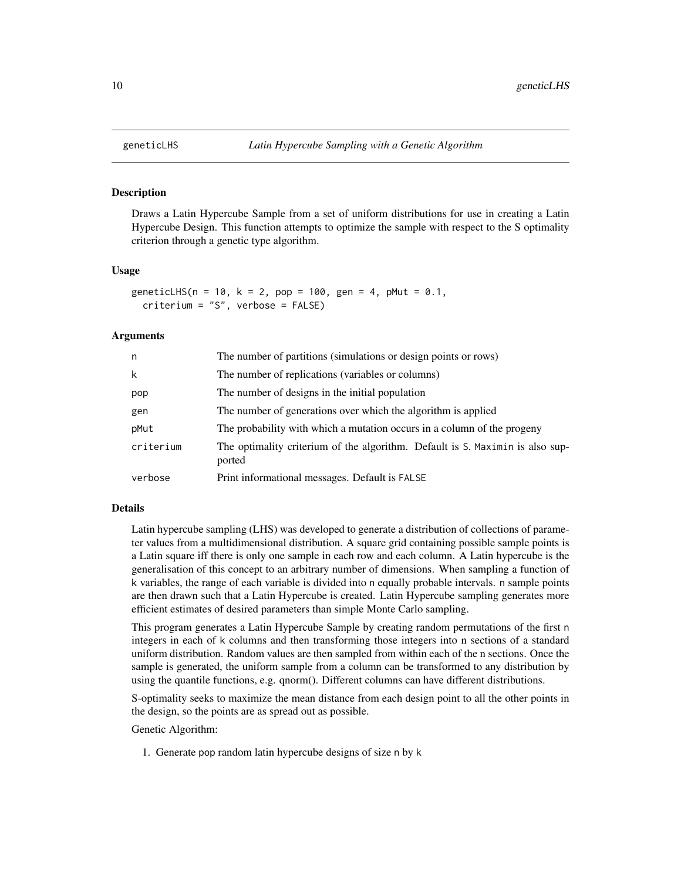Draws a Latin Hypercube Sample from a set of uniform distributions for use in creating a Latin Hypercube Design. This function attempts to optimize the sample with respect to the S optimality criterion through a genetic type algorithm.

#### Usage

```
geneticLHS(n = 10, k = 2, pop = 100, gen = 4, pMut = 0.1,
 criterium = "S", verbose = FALSE)
```
#### Arguments

| n.        | The number of partitions (simulations or design points or rows)                         |
|-----------|-----------------------------------------------------------------------------------------|
| k         | The number of replications (variables or columns)                                       |
| pop       | The number of designs in the initial population                                         |
| gen       | The number of generations over which the algorithm is applied                           |
| pMut      | The probability with which a mutation occurs in a column of the progeny                 |
| criterium | The optimality criterium of the algorithm. Default is S. Maximin is also sup-<br>ported |
| verbose   | Print informational messages. Default is FALSE                                          |

#### Details

Latin hypercube sampling (LHS) was developed to generate a distribution of collections of parameter values from a multidimensional distribution. A square grid containing possible sample points is a Latin square iff there is only one sample in each row and each column. A Latin hypercube is the generalisation of this concept to an arbitrary number of dimensions. When sampling a function of k variables, the range of each variable is divided into n equally probable intervals. n sample points are then drawn such that a Latin Hypercube is created. Latin Hypercube sampling generates more efficient estimates of desired parameters than simple Monte Carlo sampling.

This program generates a Latin Hypercube Sample by creating random permutations of the first n integers in each of k columns and then transforming those integers into n sections of a standard uniform distribution. Random values are then sampled from within each of the n sections. Once the sample is generated, the uniform sample from a column can be transformed to any distribution by using the quantile functions, e.g. qnorm(). Different columns can have different distributions.

S-optimality seeks to maximize the mean distance from each design point to all the other points in the design, so the points are as spread out as possible.

Genetic Algorithm:

1. Generate pop random latin hypercube designs of size n by k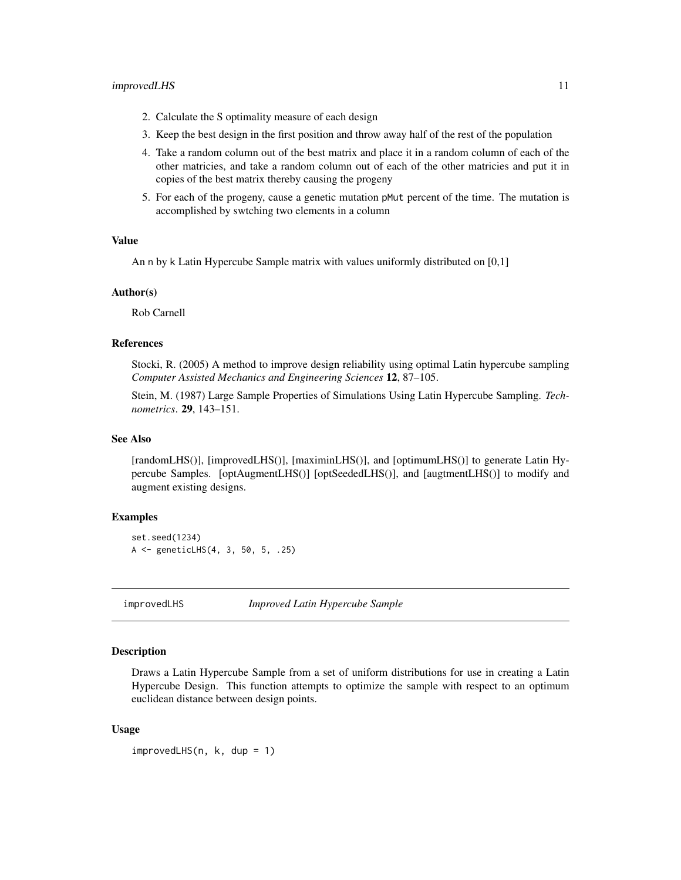#### <span id="page-10-0"></span>improvedLHS 11

- 2. Calculate the S optimality measure of each design
- 3. Keep the best design in the first position and throw away half of the rest of the population
- 4. Take a random column out of the best matrix and place it in a random column of each of the other matricies, and take a random column out of each of the other matricies and put it in copies of the best matrix thereby causing the progeny
- 5. For each of the progeny, cause a genetic mutation pMut percent of the time. The mutation is accomplished by swtching two elements in a column

#### Value

An n by k Latin Hypercube Sample matrix with values uniformly distributed on [0,1]

#### Author(s)

Rob Carnell

#### References

Stocki, R. (2005) A method to improve design reliability using optimal Latin hypercube sampling *Computer Assisted Mechanics and Engineering Sciences* 12, 87–105.

Stein, M. (1987) Large Sample Properties of Simulations Using Latin Hypercube Sampling. *Technometrics*. 29, 143–151.

# See Also

[randomLHS()], [improvedLHS()], [maximinLHS()], and [optimumLHS()] to generate Latin Hypercube Samples. [optAugmentLHS()] [optSeededLHS()], and [augtmentLHS()] to modify and augment existing designs.

# Examples

```
set.seed(1234)
A <- geneticLHS(4, 3, 50, 5, .25)
```
improvedLHS *Improved Latin Hypercube Sample*

# **Description**

Draws a Latin Hypercube Sample from a set of uniform distributions for use in creating a Latin Hypercube Design. This function attempts to optimize the sample with respect to an optimum euclidean distance between design points.

#### Usage

improvedLHS(n, k, dup = 1)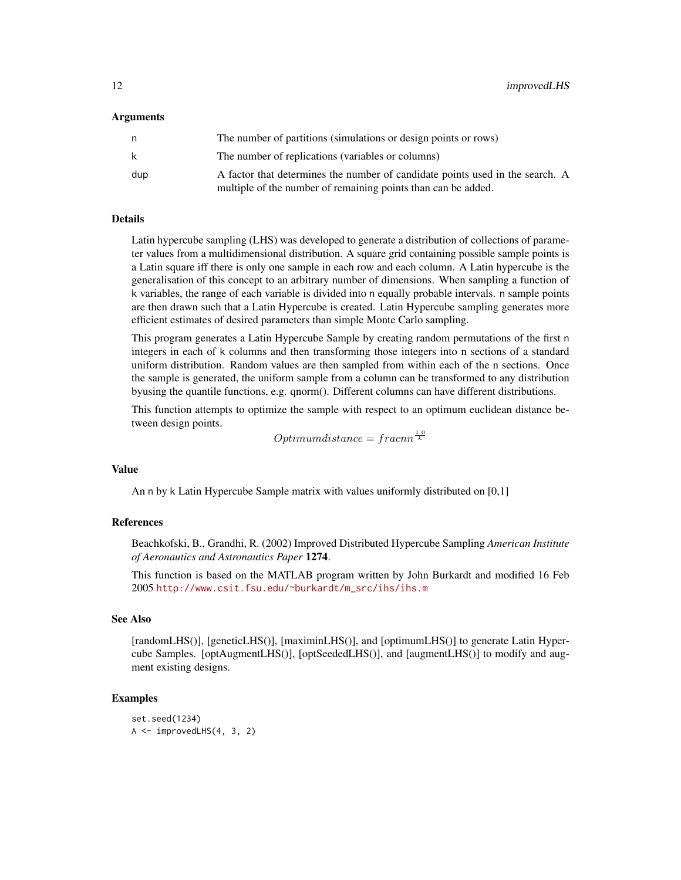#### Arguments

| n   | The number of partitions (simulations or design points or rows)                                                                                |
|-----|------------------------------------------------------------------------------------------------------------------------------------------------|
| k   | The number of replications (variables or columns)                                                                                              |
| dup | A factor that determines the number of candidate points used in the search. A<br>multiple of the number of remaining points than can be added. |

# Details

Latin hypercube sampling (LHS) was developed to generate a distribution of collections of parameter values from a multidimensional distribution. A square grid containing possible sample points is a Latin square iff there is only one sample in each row and each column. A Latin hypercube is the generalisation of this concept to an arbitrary number of dimensions. When sampling a function of k variables, the range of each variable is divided into n equally probable intervals. n sample points are then drawn such that a Latin Hypercube is created. Latin Hypercube sampling generates more efficient estimates of desired parameters than simple Monte Carlo sampling.

This program generates a Latin Hypercube Sample by creating random permutations of the first n integers in each of k columns and then transforming those integers into n sections of a standard uniform distribution. Random values are then sampled from within each of the n sections. Once the sample is generated, the uniform sample from a column can be transformed to any distribution byusing the quantile functions, e.g. qnorm(). Different columns can have different distributions.

This function attempts to optimize the sample with respect to an optimum euclidean distance between design points.

 $Optimum distance = \frac{f}{k}$ 

# Value

An n by k Latin Hypercube Sample matrix with values uniformly distributed on [0,1]

## References

Beachkofski, B., Grandhi, R. (2002) Improved Distributed Hypercube Sampling *American Institute of Aeronautics and Astronautics Paper* 1274.

This function is based on the MATLAB program written by John Burkardt and modified 16 Feb 2005 [http://www.csit.fsu.edu/~burkardt/m\\_src/ihs/ihs.m](http://www.csit.fsu.edu/~burkardt/m_src/ihs/ihs.m)

# See Also

[randomLHS()], [geneticLHS()], [maximinLHS()], and [optimumLHS()] to generate Latin Hypercube Samples. [optAugmentLHS()], [optSeededLHS()], and [augmentLHS()] to modify and augment existing designs.

#### Examples

```
set.seed(1234)
A \leq -improvedLHS(4, 3, 2)
```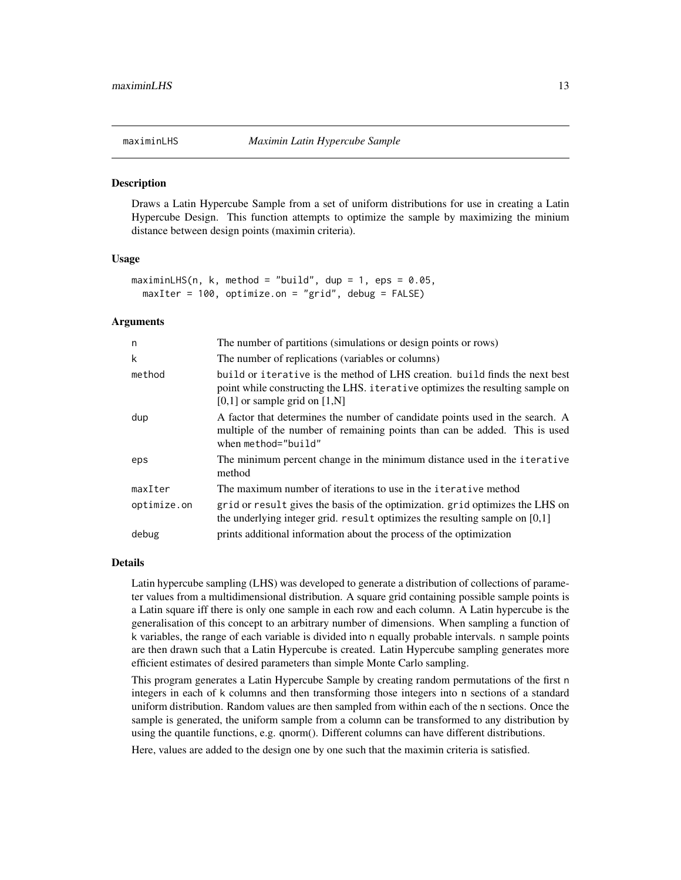<span id="page-12-0"></span>Draws a Latin Hypercube Sample from a set of uniform distributions for use in creating a Latin Hypercube Design. This function attempts to optimize the sample by maximizing the minium distance between design points (maximin criteria).

#### Usage

```
maximinLHS(n, k, method = "build", dup = 1, eps = 0.05,
 maxIter = 100, optimize.on = "grid", debug = FALSE)
```
#### Arguments

| n           | The number of partitions (simulations or design points or rows)                                                                                                                                   |
|-------------|---------------------------------------------------------------------------------------------------------------------------------------------------------------------------------------------------|
| k           | The number of replications (variables or columns)                                                                                                                                                 |
| method      | build or iterative is the method of LHS creation, build finds the next best<br>point while constructing the LHS. iterative optimizes the resulting sample on<br>$[0,1]$ or sample grid on $[1,N]$ |
| dup         | A factor that determines the number of candidate points used in the search. A<br>multiple of the number of remaining points than can be added. This is used<br>when method="build"                |
| eps         | The minimum percent change in the minimum distance used in the iterative<br>method                                                                                                                |
| maxIter     | The maximum number of iterations to use in the iterative method                                                                                                                                   |
| optimize.on | grid or result gives the basis of the optimization, grid optimizes the LHS on<br>the underlying integer grid. result optimizes the resulting sample on $[0,1]$                                    |
| debug       | prints additional information about the process of the optimization                                                                                                                               |

#### Details

Latin hypercube sampling (LHS) was developed to generate a distribution of collections of parameter values from a multidimensional distribution. A square grid containing possible sample points is a Latin square iff there is only one sample in each row and each column. A Latin hypercube is the generalisation of this concept to an arbitrary number of dimensions. When sampling a function of k variables, the range of each variable is divided into n equally probable intervals. n sample points are then drawn such that a Latin Hypercube is created. Latin Hypercube sampling generates more efficient estimates of desired parameters than simple Monte Carlo sampling.

This program generates a Latin Hypercube Sample by creating random permutations of the first n integers in each of k columns and then transforming those integers into n sections of a standard uniform distribution. Random values are then sampled from within each of the n sections. Once the sample is generated, the uniform sample from a column can be transformed to any distribution by using the quantile functions, e.g. qnorm(). Different columns can have different distributions.

Here, values are added to the design one by one such that the maximin criteria is satisfied.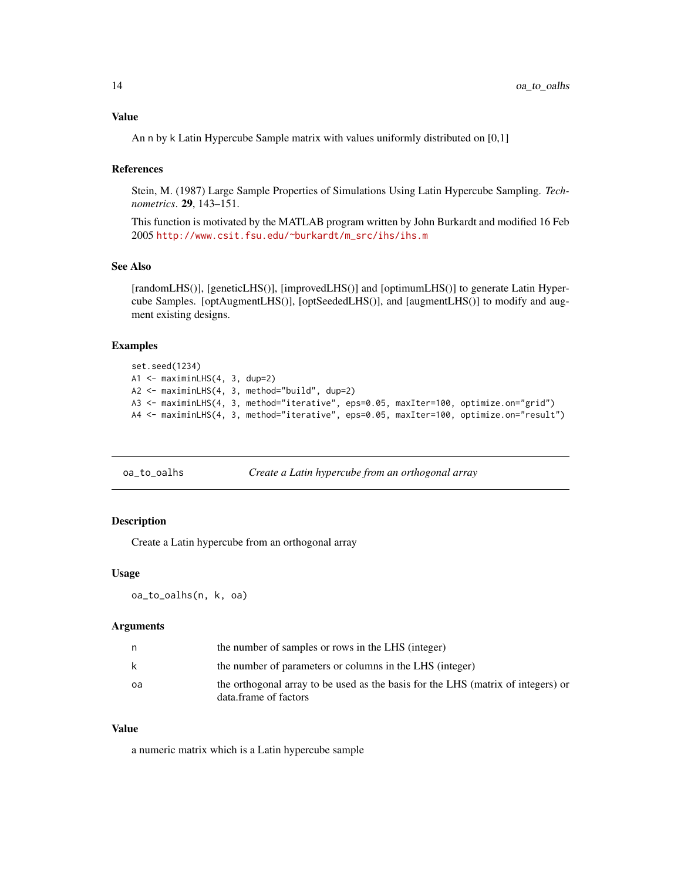# <span id="page-13-0"></span>Value

An n by k Latin Hypercube Sample matrix with values uniformly distributed on [0,1]

#### References

Stein, M. (1987) Large Sample Properties of Simulations Using Latin Hypercube Sampling. *Technometrics*. 29, 143–151.

This function is motivated by the MATLAB program written by John Burkardt and modified 16 Feb 2005 [http://www.csit.fsu.edu/~burkardt/m\\_src/ihs/ihs.m](http://www.csit.fsu.edu/~burkardt/m_src/ihs/ihs.m)

# See Also

[randomLHS()], [geneticLHS()], [improvedLHS()] and [optimumLHS()] to generate Latin Hypercube Samples. [optAugmentLHS()], [optSeededLHS()], and [augmentLHS()] to modify and augment existing designs.

#### Examples

```
set.seed(1234)
A1 <- maximinLHS(4, 3, dup=2)
A2 <- maximinLHS(4, 3, method="build", dup=2)
A3 <- maximinLHS(4, 3, method="iterative", eps=0.05, maxIter=100, optimize.on="grid")
A4 <- maximinLHS(4, 3, method="iterative", eps=0.05, maxIter=100, optimize.on="result")
```

| oa_to_oalhs | Create a Latin hypercube from an orthogonal array |
|-------------|---------------------------------------------------|
|             |                                                   |

# Description

Create a Latin hypercube from an orthogonal array

# Usage

```
oa_to_oalhs(n, k, oa)
```
#### Arguments

| n  | the number of samples or rows in the LHS (integer)                                                        |
|----|-----------------------------------------------------------------------------------------------------------|
| k  | the number of parameters or columns in the LHS (integer)                                                  |
| oa | the orthogonal array to be used as the basis for the LHS (matrix of integers) or<br>data.frame of factors |

# Value

a numeric matrix which is a Latin hypercube sample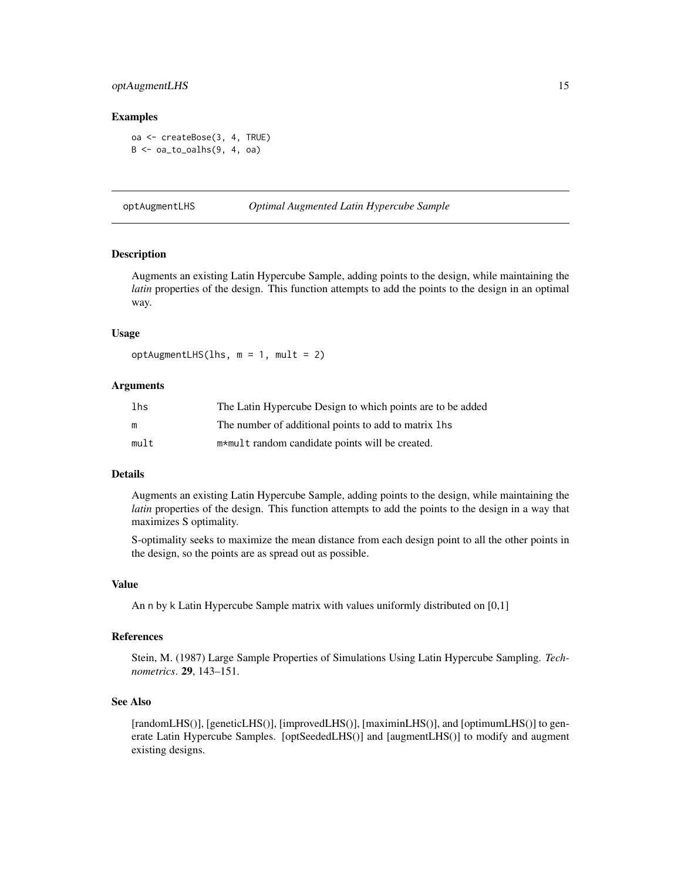#### <span id="page-14-0"></span>optAugmentLHS 15

#### Examples

```
oa <- createBose(3, 4, TRUE)
B \leq -\alpha a_1 \cdot \alpha_2 oalhs(9, 4, \alpha a)
```
optAugmentLHS *Optimal Augmented Latin Hypercube Sample*

#### Description

Augments an existing Latin Hypercube Sample, adding points to the design, while maintaining the *latin* properties of the design. This function attempts to add the points to the design in an optimal way.

#### Usage

optAugmentLHS(lhs, m = 1, mult = 2)

#### Arguments

| lhs  | The Latin Hypercube Design to which points are to be added |
|------|------------------------------------------------------------|
| m    | The number of additional points to add to matrix lhs       |
| mult | m*mult random candidate points will be created.            |

#### Details

Augments an existing Latin Hypercube Sample, adding points to the design, while maintaining the *latin* properties of the design. This function attempts to add the points to the design in a way that maximizes S optimality.

S-optimality seeks to maximize the mean distance from each design point to all the other points in the design, so the points are as spread out as possible.

#### Value

An n by k Latin Hypercube Sample matrix with values uniformly distributed on [0,1]

#### References

Stein, M. (1987) Large Sample Properties of Simulations Using Latin Hypercube Sampling. *Technometrics*. 29, 143–151.

# See Also

[randomLHS()], [geneticLHS()], [improvedLHS()], [maximinLHS()], and [optimumLHS()] to generate Latin Hypercube Samples. [optSeededLHS()] and [augmentLHS()] to modify and augment existing designs.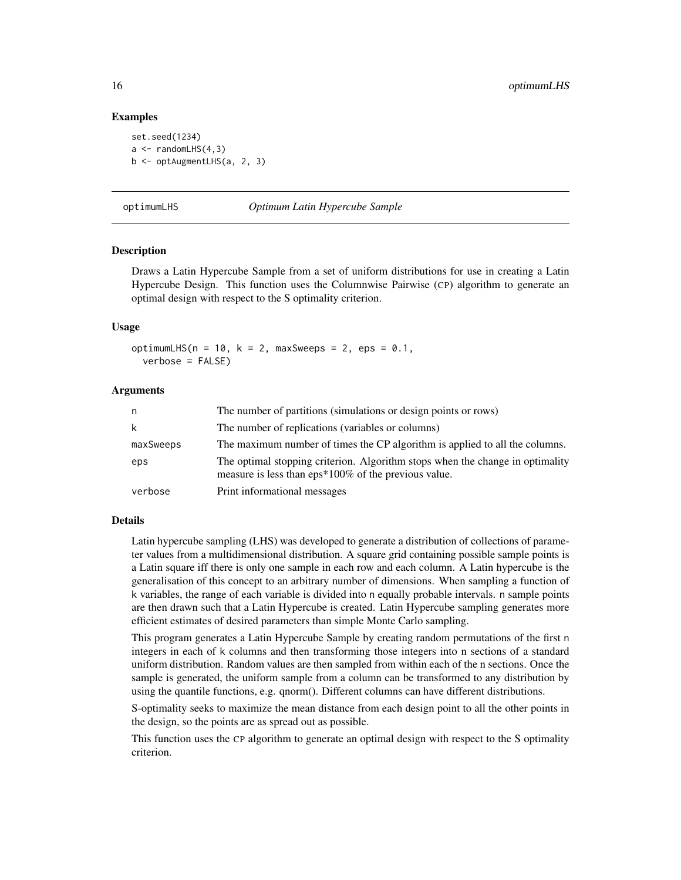#### Examples

```
set.seed(1234)
a \leq randomLHS(4,3)b \leq optAugmentLHS(a, 2, 3)
```
optimumLHS *Optimum Latin Hypercube Sample*

#### Description

Draws a Latin Hypercube Sample from a set of uniform distributions for use in creating a Latin Hypercube Design. This function uses the Columnwise Pairwise (CP) algorithm to generate an optimal design with respect to the S optimality criterion.

#### Usage

optimumLHS( $n = 10$ ,  $k = 2$ , maxSweeps = 2, eps = 0.1, verbose = FALSE)

#### Arguments

| n         | The number of partitions (simulations or design points or rows)                                                                       |
|-----------|---------------------------------------------------------------------------------------------------------------------------------------|
| k         | The number of replications (variables or columns)                                                                                     |
| maxSweeps | The maximum number of times the CP algorithm is applied to all the columns.                                                           |
| eps       | The optimal stopping criterion. Algorithm stops when the change in optimality<br>measure is less than eps*100% of the previous value. |
| verbose   | Print informational messages                                                                                                          |

# Details

Latin hypercube sampling (LHS) was developed to generate a distribution of collections of parameter values from a multidimensional distribution. A square grid containing possible sample points is a Latin square iff there is only one sample in each row and each column. A Latin hypercube is the generalisation of this concept to an arbitrary number of dimensions. When sampling a function of k variables, the range of each variable is divided into n equally probable intervals. n sample points are then drawn such that a Latin Hypercube is created. Latin Hypercube sampling generates more efficient estimates of desired parameters than simple Monte Carlo sampling.

This program generates a Latin Hypercube Sample by creating random permutations of the first n integers in each of k columns and then transforming those integers into n sections of a standard uniform distribution. Random values are then sampled from within each of the n sections. Once the sample is generated, the uniform sample from a column can be transformed to any distribution by using the quantile functions, e.g. qnorm(). Different columns can have different distributions.

S-optimality seeks to maximize the mean distance from each design point to all the other points in the design, so the points are as spread out as possible.

This function uses the CP algorithm to generate an optimal design with respect to the S optimality criterion.

<span id="page-15-0"></span>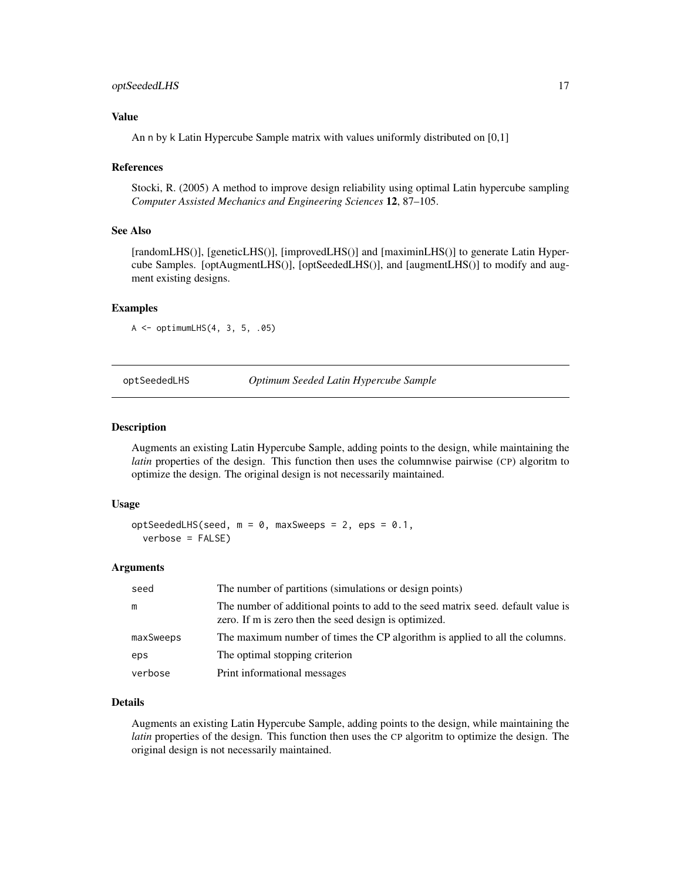# <span id="page-16-0"></span>optSeededLHS 17

# Value

An n by k Latin Hypercube Sample matrix with values uniformly distributed on [0,1]

#### References

Stocki, R. (2005) A method to improve design reliability using optimal Latin hypercube sampling *Computer Assisted Mechanics and Engineering Sciences* 12, 87–105.

#### See Also

[randomLHS()], [geneticLHS()], [improvedLHS()] and [maximinLHS()] to generate Latin Hypercube Samples. [optAugmentLHS()], [optSeededLHS()], and [augmentLHS()] to modify and augment existing designs.

#### Examples

A <- optimumLHS(4, 3, 5, .05)

optSeededLHS *Optimum Seeded Latin Hypercube Sample*

#### Description

Augments an existing Latin Hypercube Sample, adding points to the design, while maintaining the *latin* properties of the design. This function then uses the columnwise pairwise (CP) algoritm to optimize the design. The original design is not necessarily maintained.

#### Usage

```
optSeededLHS(seed, m = 0, maxSweeps = 2, eps = 0.1,
  verbose = FALSE)
```
#### Arguments

| seed      | The number of partitions (simulations or design points)                                                                                   |
|-----------|-------------------------------------------------------------------------------------------------------------------------------------------|
| m         | The number of additional points to add to the seed matrix seed. default value is<br>zero. If m is zero then the seed design is optimized. |
| maxSweeps | The maximum number of times the CP algorithm is applied to all the columns.                                                               |
| eps       | The optimal stopping criterion                                                                                                            |
| verbose   | Print informational messages                                                                                                              |

# Details

Augments an existing Latin Hypercube Sample, adding points to the design, while maintaining the *latin* properties of the design. This function then uses the CP algoritm to optimize the design. The original design is not necessarily maintained.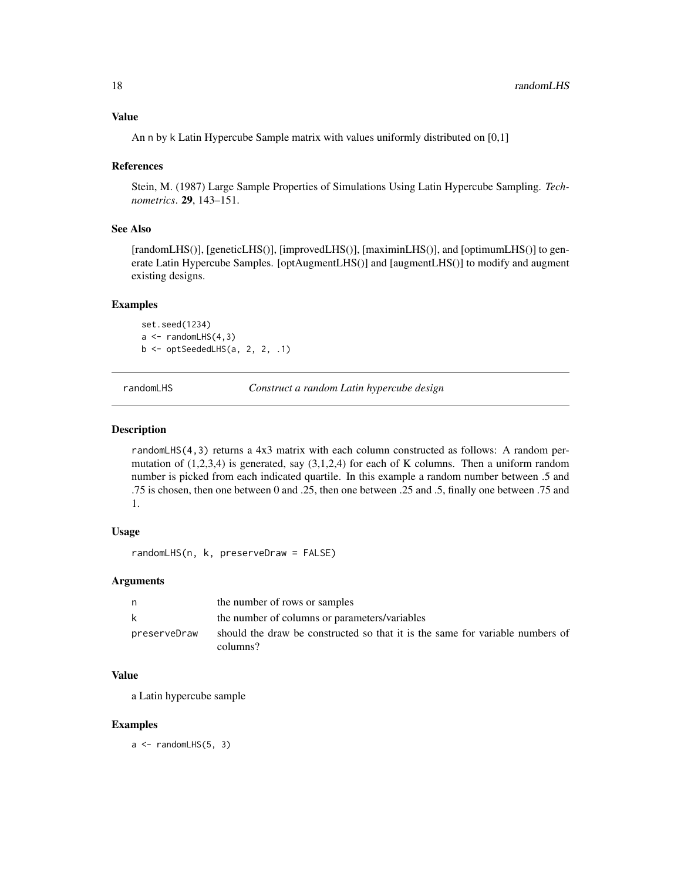<span id="page-17-0"></span>An n by k Latin Hypercube Sample matrix with values uniformly distributed on [0,1]

#### References

Stein, M. (1987) Large Sample Properties of Simulations Using Latin Hypercube Sampling. *Technometrics*. 29, 143–151.

#### See Also

[randomLHS()], [geneticLHS()], [improvedLHS()], [maximinLHS()], and [optimumLHS()] to generate Latin Hypercube Samples. [optAugmentLHS()] and [augmentLHS()] to modify and augment existing designs.

#### Examples

set.seed(1234)  $a \leftarrow \text{randomLHS}(4,3)$ b <- optSeededLHS(a, 2, 2, .1)

randomLHS *Construct a random Latin hypercube design*

# Description

randomLHS(4,3) returns a 4x3 matrix with each column constructed as follows: A random permutation of  $(1,2,3,4)$  is generated, say  $(3,1,2,4)$  for each of K columns. Then a uniform random number is picked from each indicated quartile. In this example a random number between .5 and .75 is chosen, then one between 0 and .25, then one between .25 and .5, finally one between .75 and 1.

#### Usage

```
randomLHS(n, k, preserveDraw = FALSE)
```
#### Arguments

|              | the number of rows or samples                                                             |
|--------------|-------------------------------------------------------------------------------------------|
| k            | the number of columns or parameters/variables                                             |
| preserveDraw | should the draw be constructed so that it is the same for variable numbers of<br>columns? |

#### Value

a Latin hypercube sample

#### Examples

 $a \leq$  randomLHS $(5, 3)$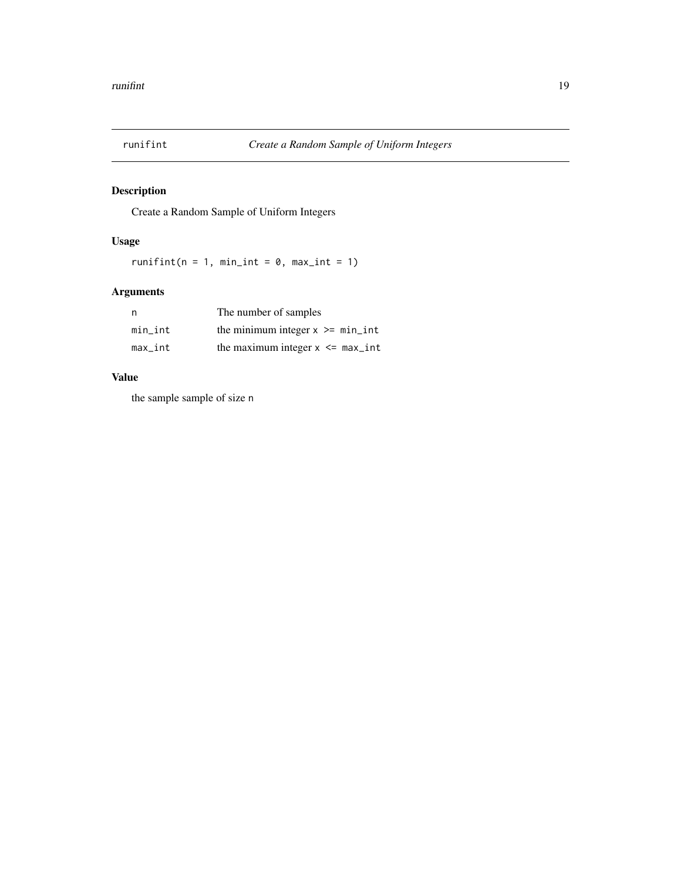<span id="page-18-0"></span>

Create a Random Sample of Uniform Integers

# Usage

runifint( $n = 1$ , min\_int = 0, max\_int = 1)

# Arguments

| n       | The number of samples               |
|---------|-------------------------------------|
| min int | the minimum integer $x \ge$ min_int |
| max_int | the maximum integer $x \le$ max_int |

# Value

the sample sample of size n